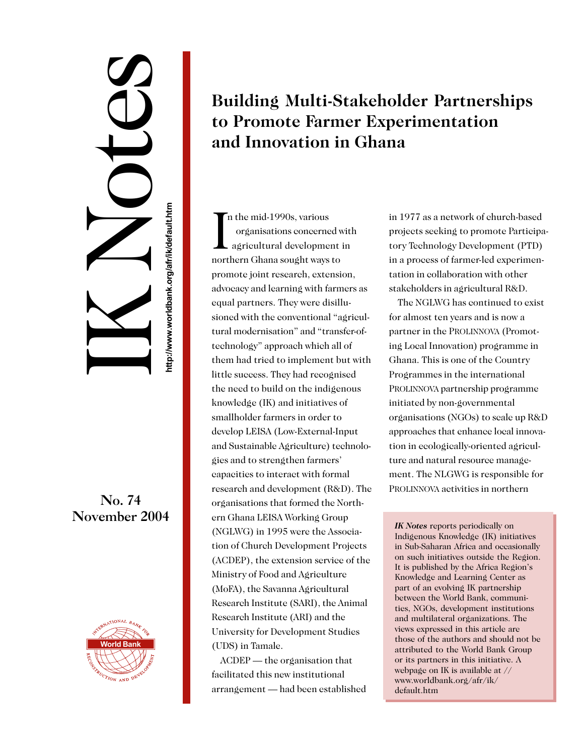# IK Notes No. 74<br>November 2004<br>Http://www.worldbank.org/afrikadesia.html<br>http://www.worldbank.org/afrikadesia.html<br>http://www.worldbank.org/afrikadesia.html<br>http://www.worldbank.org/afrikadesia.html<br>http://www.worldbank.org/afrikade

# No. 74



## **Building Multi-Stakeholder Partnerships to Promote Farmer Experimentation and Innovation in Ghana**

I<sub>I</sub> n the mid-1990s, various organisations concerned with agricultural development in northern Ghana sought ways to promote joint research, extension, advocacy and learning with farmers as equal partners. They were disillusioned with the conventional "agricultural modernisation" and "transfer-oftechnology" approach which all of them had tried to implement but with little success. They had recognised the need to build on the indigenous knowledge (IK) and initiatives of smallholder farmers in order to develop LEISA (Low-External-Input and Sustainable Agriculture) technologies and to strengthen farmers' capacities to interact with formal research and development (R&D). The organisations that formed the Northern Ghana LEISA Working Group (NGLWG) in 1995 were the Association of Church Development Projects (ACDEP), the extension service of the Ministry of Food and Agriculture (MoFA), the Savanna Agricultural Research Institute (SARI), the Animal Research Institute (ARI) and the University for Development Studies (UDS) in Tamale.

ACDEP — the organisation that facilitated this new institutional arrangement — had been established in 1977 as a network of church-based projects seeking to promote Participatory Technology Development (PTD) in a process of farmer-led experimentation in collaboration with other stakeholders in agricultural R&D.

The NGLWG has continued to exist for almost ten years and is now a partner in the PROLINNOVA (Promoting Local Innovation) programme in Ghana. This is one of the Country Programmes in the international PROLINNOVA partnership programme initiated by non-governmental organisations (NGOs) to scale up R&D approaches that enhance local innovation in ecologically-oriented agriculture and natural resource management. The NLGWG is responsible for PROLINNOVA activities in northern

*IK Notes* reports periodically on Indigenous Knowledge (IK) initiatives in Sub-Saharan Africa and occasionally on such initiatives outside the Region. It is published by the Africa Region's Knowledge and Learning Center as part of an evolving IK partnership between the World Bank, communities, NGOs, development institutions and multilateral organizations. The views expressed in this article are those of the authors and should not be attributed to the World Bank Group or its partners in this initiative. A webpage on IK is available at // www.worldbank.org/afr/ik/ default.htm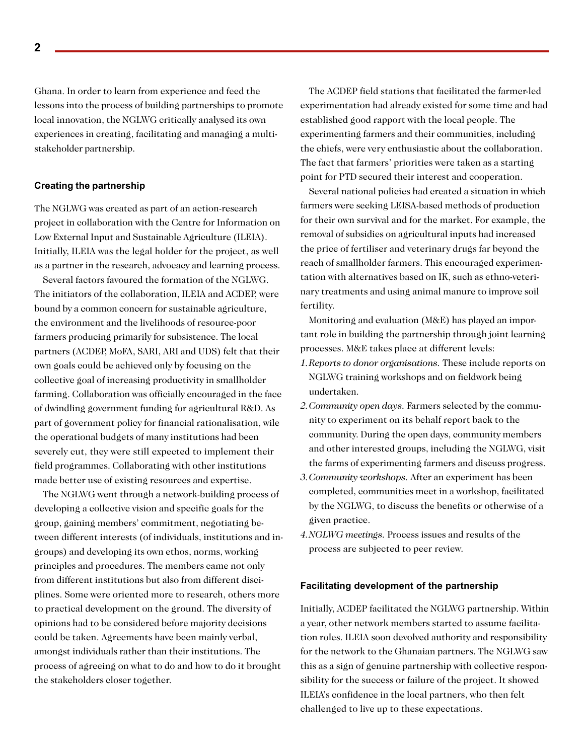Ghana. In order to learn from experience and feed the lessons into the process of building partnerships to promote local innovation, the NGLWG critically analysed its own experiences in creating, facilitating and managing a multistakeholder partnership.

### **Creating the partnership**

The NGLWG was created as part of an action-research project in collaboration with the Centre for Information on Low External Input and Sustainable Agriculture (ILEIA). Initially, ILEIA was the legal holder for the project, as well as a partner in the research, advocacy and learning process.

Several factors favoured the formation of the NGLWG. The initiators of the collaboration, ILEIA and ACDEP, were bound by a common concern for sustainable agriculture, the environment and the livelihoods of resource-poor farmers producing primarily for subsistence. The local partners (ACDEP, MoFA, SARI, ARI and UDS) felt that their own goals could be achieved only by focusing on the collective goal of increasing productivity in smallholder farming. Collaboration was officially encouraged in the face of dwindling government funding for agricultural R&D. As part of government policy for financial rationalisation, wile the operational budgets of many institutions had been severely cut, they were still expected to implement their field programmes. Collaborating with other institutions made better use of existing resources and expertise.

The NGLWG went through a network-building process of developing a collective vision and specific goals for the group, gaining members' commitment, negotiating between different interests (of individuals, institutions and ingroups) and developing its own ethos, norms, working principles and procedures. The members came not only from different institutions but also from different disciplines. Some were oriented more to research, others more to practical development on the ground. The diversity of opinions had to be considered before majority decisions could be taken. Agreements have been mainly verbal, amongst individuals rather than their institutions. The process of agreeing on what to do and how to do it brought the stakeholders closer together.

The ACDEP field stations that facilitated the farmer-led experimentation had already existed for some time and had established good rapport with the local people. The experimenting farmers and their communities, including the chiefs, were very enthusiastic about the collaboration. The fact that farmers' priorities were taken as a starting point for PTD secured their interest and cooperation.

Several national policies had created a situation in which farmers were seeking LEISA-based methods of production for their own survival and for the market. For example, the removal of subsidies on agricultural inputs had increased the price of fertiliser and veterinary drugs far beyond the reach of smallholder farmers. This encouraged experimentation with alternatives based on IK, such as ethno-veterinary treatments and using animal manure to improve soil fertility.

Monitoring and evaluation (M&E) has played an important role in building the partnership through joint learning processes. M&E takes place at different levels:

- *1.Reports to donor organisations.* These include reports on NGLWG training workshops and on fieldwork being undertaken.
- *2.Community open days.* Farmers selected by the community to experiment on its behalf report back to the community. During the open days, community members and other interested groups, including the NGLWG, visit the farms of experimenting farmers and discuss progress.
- *3.Community workshops.* After an experiment has been completed, communities meet in a workshop, facilitated by the NGLWG, to discuss the benefits or otherwise of a given practice.
- *4.NGLWG meetings.* Process issues and results of the process are subjected to peer review.

### **Facilitating development of the partnership**

Initially, ACDEP facilitated the NGLWG partnership. Within a year, other network members started to assume facilitation roles. ILEIA soon devolved authority and responsibility for the network to the Ghanaian partners. The NGLWG saw this as a sign of genuine partnership with collective responsibility for the success or failure of the project. It showed ILEIA's confidence in the local partners, who then felt challenged to live up to these expectations.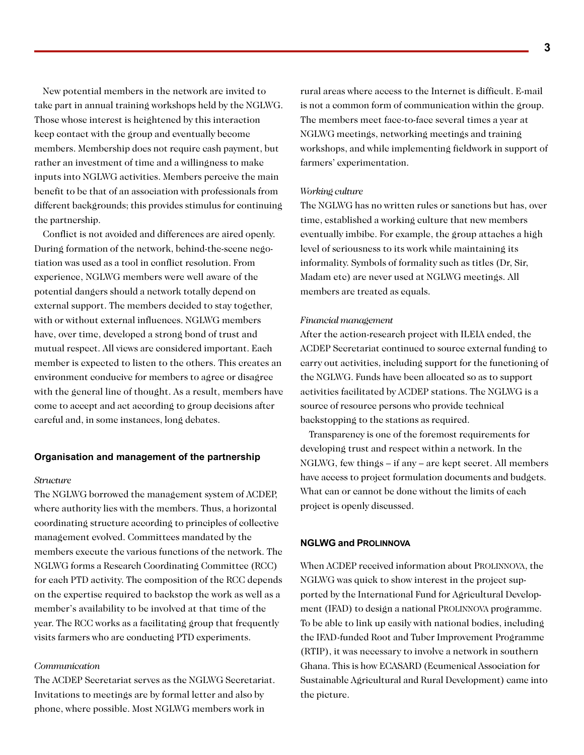New potential members in the network are invited to take part in annual training workshops held by the NGLWG. Those whose interest is heightened by this interaction keep contact with the group and eventually become members. Membership does not require cash payment, but rather an investment of time and a willingness to make inputs into NGLWG activities. Members perceive the main benefit to be that of an association with professionals from different backgrounds; this provides stimulus for continuing the partnership.

Conflict is not avoided and differences are aired openly. During formation of the network, behind-the-scene negotiation was used as a tool in conflict resolution. From experience, NGLWG members were well aware of the potential dangers should a network totally depend on external support. The members decided to stay together, with or without external influences. NGLWG members have, over time, developed a strong bond of trust and mutual respect. All views are considered important. Each member is expected to listen to the others. This creates an environment conducive for members to agree or disagree with the general line of thought. As a result, members have come to accept and act according to group decisions after careful and, in some instances, long debates.

### **Organisation and management of the partnership**

### *Structure*

The NGLWG borrowed the management system of ACDEP, where authority lies with the members. Thus, a horizontal coordinating structure according to principles of collective management evolved. Committees mandated by the members execute the various functions of the network. The NGLWG forms a Research Coordinating Committee (RCC) for each PTD activity. The composition of the RCC depends on the expertise required to backstop the work as well as a member's availability to be involved at that time of the year. The RCC works as a facilitating group that frequently visits farmers who are conducting PTD experiments.

### *Communication*

The ACDEP Secretariat serves as the NGLWG Secretariat. Invitations to meetings are by formal letter and also by phone, where possible. Most NGLWG members work in

rural areas where access to the Internet is difficult. E-mail is not a common form of communication within the group. The members meet face-to-face several times a year at NGLWG meetings, networking meetings and training workshops, and while implementing fieldwork in support of farmers' experimentation.

### *Working culture*

The NGLWG has no written rules or sanctions but has, over time, established a working culture that new members eventually imbibe. For example, the group attaches a high level of seriousness to its work while maintaining its informality. Symbols of formality such as titles (Dr, Sir, Madam etc) are never used at NGLWG meetings. All members are treated as equals.

### *Financial management*

After the action-research project with ILEIA ended, the ACDEP Secretariat continued to source external funding to carry out activities, including support for the functioning of the NGLWG. Funds have been allocated so as to support activities facilitated by ACDEP stations. The NGLWG is a source of resource persons who provide technical backstopping to the stations as required.

Transparency is one of the foremost requirements for developing trust and respect within a network. In the NGLWG, few things – if any – are kept secret. All members have access to project formulation documents and budgets. What can or cannot be done without the limits of each project is openly discussed.

### **NGLWG and PROLINNOVA**

When ACDEP received information about PROLINNOVA, the NGLWG was quick to show interest in the project supported by the International Fund for Agricultural Development (IFAD) to design a national PROLINNOVA programme. To be able to link up easily with national bodies, including the IFAD-funded Root and Tuber Improvement Programme (RTIP), it was necessary to involve a network in southern Ghana. This is how ECASARD (Ecumenical Association for Sustainable Agricultural and Rural Development) came into the picture.